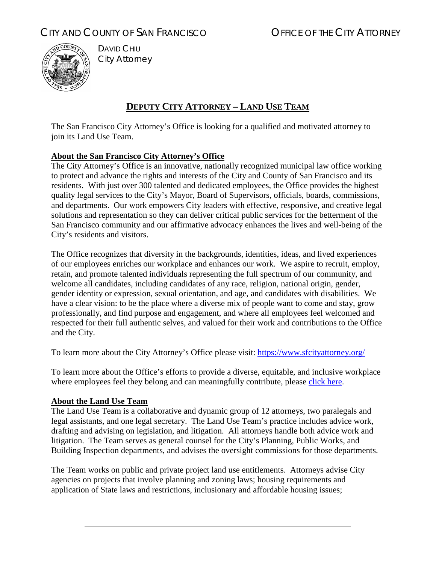# CITY AND COUNTY OF SAN FRANCISCO **COUNTY OF SAN FRANCISCO** OF THE CITY ATTORNEY



DAVID CHIU City Attorney

## **DEPUTY CITY ATTORNEY – LAND USE TEAM**

The San Francisco City Attorney's Office is looking for a qualified and motivated attorney to join its Land Use Team.

### **About the San Francisco City Attorney's Office**

The City Attorney's Office is an innovative, nationally recognized municipal law office working to protect and advance the rights and interests of the City and County of San Francisco and its residents. With just over 300 talented and dedicated employees, the Office provides the highest quality legal services to the City's Mayor, Board of Supervisors, officials, boards, commissions, and departments. Our work empowers City leaders with effective, responsive, and creative legal solutions and representation so they can deliver critical public services for the betterment of the San Francisco community and our affirmative advocacy enhances the lives and well-being of the City's residents and visitors.

The Office recognizes that diversity in the backgrounds, identities, ideas, and lived experiences of our employees enriches our workplace and enhances our work. We aspire to recruit, employ, retain, and promote talented individuals representing the full spectrum of our community, and welcome all candidates, including candidates of any race, religion, national origin, gender, gender identity or expression, sexual orientation, and age, and candidates with disabilities. We have a clear vision: to be the place where a diverse mix of people want to come and stay, grow professionally, and find purpose and engagement, and where all employees feel welcomed and respected for their full authentic selves, and valued for their work and contributions to the Office and the City.

To learn more about the City Attorney's Office please visit: [https://www.sfcityattorney.org/](about:blank)

To learn more about the Office's efforts to provide a diverse, equitable, and inclusive workplace where employees feel they belong and can meaningfully contribute, please [click here.](https://www.sfcityattorney.org/2020/12/09/herrera-forms-racial-equity-task-force-to-address-racial-equity-and-enhance-diversity-and-inclusivity-at-city-attorneys-office/)

#### **About the Land Use Team**

The Land Use Team is a collaborative and dynamic group of 12 attorneys, two paralegals and legal assistants, and one legal secretary. The Land Use Team's practice includes advice work, drafting and advising on legislation, and litigation. All attorneys handle both advice work and litigation. The Team serves as general counsel for the City's Planning, Public Works, and Building Inspection departments, and advises the oversight commissions for those departments.

The Team works on public and private project land use entitlements. Attorneys advise City agencies on projects that involve planning and zoning laws; housing requirements and application of State laws and restrictions, inclusionary and affordable housing issues;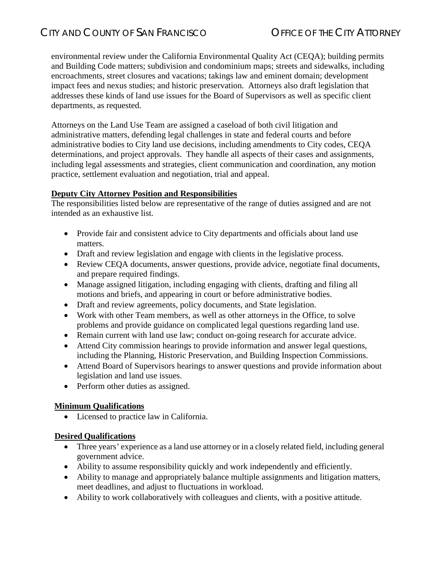environmental review under the California Environmental Quality Act (CEQA); building permits and Building Code matters; subdivision and condominium maps; streets and sidewalks, including encroachments, street closures and vacations; takings law and eminent domain; development impact fees and nexus studies; and historic preservation. Attorneys also draft legislation that addresses these kinds of land use issues for the Board of Supervisors as well as specific client departments, as requested.

Attorneys on the Land Use Team are assigned a caseload of both civil litigation and administrative matters, defending legal challenges in state and federal courts and before administrative bodies to City land use decisions, including amendments to City codes, CEQA determinations, and project approvals. They handle all aspects of their cases and assignments, including legal assessments and strategies, client communication and coordination, any motion practice, settlement evaluation and negotiation, trial and appeal.

#### **Deputy City Attorney Position and Responsibilities**

The responsibilities listed below are representative of the range of duties assigned and are not intended as an exhaustive list.

- Provide fair and consistent advice to City departments and officials about land use matters.
- Draft and review legislation and engage with clients in the legislative process.
- Review CEQA documents, answer questions, provide advice, negotiate final documents, and prepare required findings.
- Manage assigned litigation, including engaging with clients, drafting and filing all motions and briefs, and appearing in court or before administrative bodies.
- Draft and review agreements, policy documents, and State legislation.
- Work with other Team members, as well as other attorneys in the Office, to solve problems and provide guidance on complicated legal questions regarding land use.
- Remain current with land use law; conduct on-going research for accurate advice.
- Attend City commission hearings to provide information and answer legal questions, including the Planning, Historic Preservation, and Building Inspection Commissions.
- Attend Board of Supervisors hearings to answer questions and provide information about legislation and land use issues.
- Perform other duties as assigned.

#### **Minimum Qualifications**

• Licensed to practice law in California.

#### **Desired Qualifications**

- Three years' experience as a land use attorney or in a closely related field, including general government advice.
- Ability to assume responsibility quickly and work independently and efficiently.
- Ability to manage and appropriately balance multiple assignments and litigation matters, meet deadlines, and adjust to fluctuations in workload.
- Ability to work collaboratively with colleagues and clients, with a positive attitude.